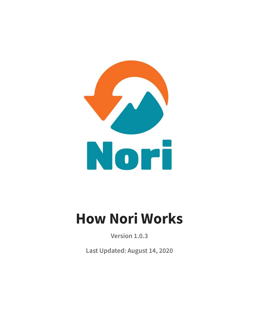

# **How Nori Works**

**Version 1.0.3**

**Last Updated: August 14, 2020**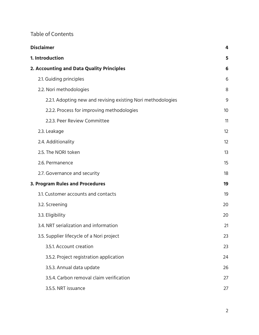# Table of Contents

| <b>Disclaimer</b>                                            |    |  |
|--------------------------------------------------------------|----|--|
| 1. Introduction<br>2. Accounting and Data Quality Principles |    |  |
|                                                              |    |  |
| 2.2. Nori methodologies                                      | 8  |  |
| 2.2.1. Adopting new and revising existing Nori methodologies | 9  |  |
| 2.2.2. Process for improving methodologies                   | 10 |  |
| 2.2.3. Peer Review Committee                                 | 11 |  |
| 2.3. Leakage                                                 | 12 |  |
| 2.4. Additionality                                           | 12 |  |
| 2.5. The NORI token                                          | 13 |  |
| 2.6. Permanence                                              | 15 |  |
| 2.7. Governance and security                                 | 18 |  |
| 3. Program Rules and Procedures                              |    |  |
| 3.1. Customer accounts and contacts                          | 19 |  |
| 3.2. Screening                                               | 20 |  |
| 3.3. Eligibility                                             | 20 |  |
| 3.4. NRT serialization and information                       | 21 |  |
| 3.5. Supplier lifecycle of a Nori project                    | 23 |  |
| 3.5.1. Account creation                                      | 23 |  |
| 3.5.2. Project registration application                      | 24 |  |
| 3.5.3. Annual data update                                    | 26 |  |
| 3.5.4. Carbon removal claim verification                     | 27 |  |
| 3.5.5. NRT issuance                                          | 27 |  |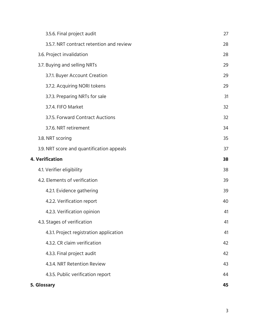|                        | 3.5.6. Final project audit                | 27 |
|------------------------|-------------------------------------------|----|
|                        | 3.5.7. NRT contract retention and review  | 28 |
|                        | 3.6. Project invalidation                 | 28 |
|                        | 3.7. Buying and selling NRTs              | 29 |
|                        | 3.7.1. Buyer Account Creation             | 29 |
|                        | 3.7.2. Acquiring NORI tokens              | 29 |
|                        | 3.7.3. Preparing NRTs for sale            | 31 |
|                        | 3.7.4. FIFO Market                        | 32 |
|                        | 3.7.5. Forward Contract Auctions          | 32 |
|                        | 3.7.6. NRT retirement                     | 34 |
|                        | 3.8. NRT scoring                          | 35 |
|                        | 3.9. NRT score and quantification appeals | 37 |
| <b>4. Verification</b> |                                           | 38 |
|                        | 4.1. Verifier eligibility                 | 38 |
|                        | 4.2. Elements of verification             | 39 |
|                        | 4.2.1. Evidence gathering                 | 39 |
|                        | 4.2.2. Verification report                | 40 |
|                        | 4.2.3. Verification opinion               | 41 |
|                        | 4.3. Stages of verification               | 41 |
|                        | 4.3.1. Project registration application   | 41 |
|                        | 4.3.2. CR claim verification              | 42 |
|                        | 4.3.3. Final project audit                | 42 |
|                        | 4.3.4. NRT Retention Review               | 43 |
|                        | 4.3.5. Public verification report         | 44 |
|                        | 5. Glossary                               | 45 |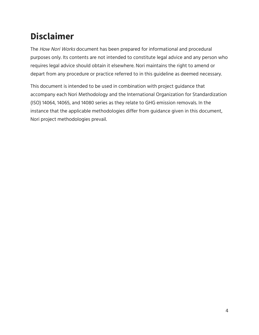# <span id="page-3-0"></span>**Disclaimer**

The How Nori Works document has been prepared for informational and procedural purposes only. Its contents are not intended to constitute legal advice and any person who requires legal advice should obtain it elsewhere. Nori maintains the right to amend or depart from any procedure or practice referred to in this guideline as deemed necessary.

This document is intended to be used in combination with project guidance that accompany each Nori Methodology and the International Organization for Standardization (ISO) 14064, 14065, and 14080 series as they relate to GHG emission removals. In the instance that the applicable methodologies differ from guidance given in this document, Nori project methodologies prevail.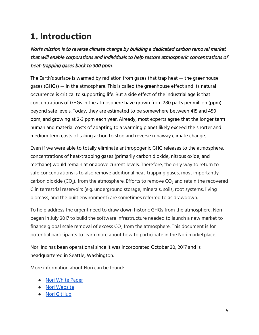# <span id="page-4-0"></span>**1. Introduction**

Nori's mission is to reverse climate change by building <sup>a</sup> dedicated carbon removal market that will enable corporations and individuals to help restore atmospheric concentrations of heat-trapping gases back to 300 ppm.

The Earth's surface is warmed by radiation from gases that trap heat — the greenhouse gases (GHGs) — in the atmosphere. This is called the greenhouse effect and its natural occurrence is critical to supporting life. But a side effect of the industrial age is that concentrations of GHGs in the atmosphere have grown from 280 parts per million (ppm) beyond safe levels. Today, they are estimated to be somewhere between 415 and 450 ppm, and growing at 2-3 ppm each year. Already, most experts agree that the longer term human and material costs of adapting to a warming planet likely exceed the shorter and medium term costs of taking action to stop and reverse runaway climate change.

Even if we were able to totally eliminate anthropogenic GHG releases to the atmosphere, concentrations of heat-trapping gases (primarily carbon dioxide, nitrous oxide, and methane) would remain at or above current levels. Therefore, the only way to return to safe concentrations is to also remove additional heat-trapping gases, most importantly carbon dioxide (CO<sub>2</sub>), from the atmosphere. Efforts to remove CO<sub>2</sub> and retain the recovered C in terrestrial reservoirs (e.g. underground storage, minerals, soils, root systems, living biomass, and the built environment) are sometimes referred to as drawdown.

To help address the urgent need to draw down historic GHGs from the atmosphere, Nori began in July 2017 to build the software infrastructure needed to launch a new market to finance global scale removal of excess  $CO<sub>2</sub>$  from the atmosphere. This document is for potential participants to learn more about how to participate in the Nori marketplace.

Nori Inc has been operational since it was incorporated October 30, 2017 and is headquartered in Seattle, Washington.

More information about Nori can be found:

- Nori [White](https://nori.com/white-paper) Paper
- Nori [Website](https://nori.com)
- Nori [GitHub](https://github.com/nori-dot-eco/)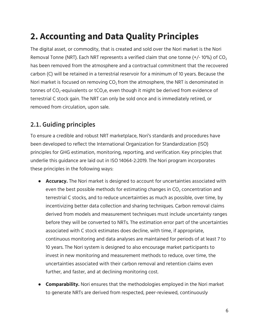# <span id="page-5-0"></span>**2. Accounting and Data Quality Principles**

The digital asset, or commodity, that is created and sold over the Nori market is the Nori Removal Tonne (NRT). Each NRT represents a verified claim that one tonne  $(+/-10%)$  of CO<sub>2</sub> has been removed from the atmosphere and a contractual commitment that the recovered carbon (C) will be retained in a terrestrial reservoir for a minimum of 10 years. Because the Nori market is focused on removing  $CO<sub>2</sub>$  from the atmosphere, the NRT is denominated in tonnes of  $CO_2$ -equivalents or tCO<sub>2</sub>e, even though it might be derived from evidence of terrestrial C stock gain. The NRT can only be sold once and is immediately retired, or removed from circulation, upon sale.

# <span id="page-5-1"></span>**2.1. Guiding principles**

To ensure a credible and robust NRT marketplace, Nori's standards and procedures have been developed to reflect the International Organization for Standardization (ISO) principles for GHG estimation, monitoring, reporting, and verification. Key principles that underlie this guidance are laid out in ISO 14064-2:2019. The Nori program incorporates these principles in the following ways:

- **Accuracy.** The Nori market is designed to account for uncertainties associated with even the best possible methods for estimating changes in  $CO<sub>2</sub>$  concentration and terrestrial C stocks, and to reduce uncertainties as much as possible, over time, by incentivizing better data collection and sharing techniques. Carbon removal claims derived from models and measurement techniques must include uncertainty ranges before they will be converted to NRTs. The estimation error part of the uncertainties associated with C stock estimates does decline, with time, if appropriate, continuous monitoring and data analyses are maintained for periods of at least 7 to 10 years. The Nori system is designed to also encourage market participants to invest in new monitoring and measurement methods to reduce, over time, the uncertainties associated with their carbon removal and retention claims even further, and faster, and at declining monitoring cost.
- **Comparability.** Nori ensures that the methodologies employed in the Nori market to generate NRTs are derived from respected, peer-reviewed, continuously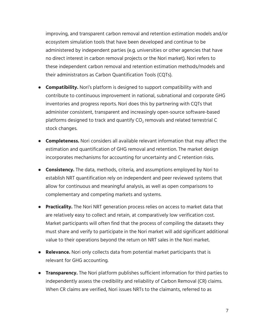improving, and transparent carbon removal and retention estimation models and/or ecosystem simulation tools that have been developed and continue to be administered by independent parties (e.g. universities or other agencies that have no direct interest in carbon removal projects or the Nori market). Nori refers to these independent carbon removal and retention estimation methods/models and their administrators as Carbon Quantification Tools (CQTs).

- **Compatibility.** Nori's platform is designed to support compatibility with and contribute to continuous improvement in national, subnational and corporate GHG inventories and progress reports. Nori does this by partnering with CQTs that administer consistent, transparent and increasingly open-source software-based platforms designed to track and quantify  $CO<sub>2</sub>$  removals and related terrestrial C stock changes.
- **Completeness.** Nori considers all available relevant information that may affect the estimation and quantification of GHG removal and retention. The market design incorporates mechanisms for accounting for uncertainty and C retention risks.
- **Consistency.** The data, methods, criteria, and assumptions employed by Nori to establish NRT quantification rely on independent and peer reviewed systems that allow for continuous and meaningful analysis, as well as open comparisons to complementary and competing markets and systems.
- **Practicality.** The Nori NRT generation process relies on access to market data that are relatively easy to collect and retain, at comparatively low verification cost. Market participants will often find that the process of compiling the datasets they must share and verify to participate in the Nori market will add significant additional value to their operations beyond the return on NRT sales in the Nori market.
- **Relevance.** Nori only collects data from potential market participants that is relevant for GHG accounting.
- **Transparency.** The Nori platform publishes sufficient information for third parties to independently assess the credibility and reliability of Carbon Removal (CR) claims. When CR claims are verified, Nori issues NRTs to the claimants, referred to as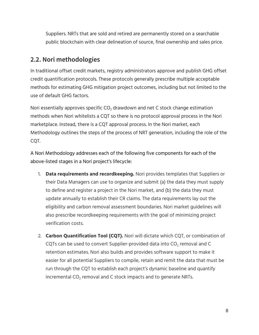Suppliers. NRTs that are sold and retired are permanently stored on a searchable public blockchain with clear delineation of source, final ownership and sales price.

# <span id="page-7-0"></span>**2.2. Nori methodologies**

In traditional offset credit markets, registry administrators approve and publish GHG offset credit quantification protocols. These protocols generally prescribe multiple acceptable methods for estimating GHG mitigation project outcomes, including but not limited to the use of default GHG factors.

Nori essentially approves specific  $CO<sub>2</sub>$  drawdown and net C stock change estimation methods when Nori whitelists a CQT so there is no protocol approval process in the Nori marketplace. Instead, there is a CQT approval process. In the Nori market, each Methodology outlines the steps of the process of NRT generation, including the role of the CQT.

A Nori Methodology addresses each of the following five components for each of the above-listed stages in a Nori project's lifecycle:

- 1. **Data requirements and recordkeeping.** Nori provides templates that Suppliers or their Data Managers can use to organize and submit (a) the data they must supply to define and register a project in the Nori market, and (b) the data they must update annually to establish their CR claims. The data requirements lay out the eligibility and carbon removal assessment boundaries. Nori market guidelines will also prescribe recordkeeping requirements with the goal of minimizing project verification costs.
- 2. **Carbon Quantification Tool (CQT).** Nori will dictate which CQT, or combination of CQTs can be used to convert Supplier-provided data into  $CO<sub>2</sub>$  removal and C retention estimates. Nori also builds and provides software support to make it easier for all potential Suppliers to compile, retain and remit the data that must be run through the CQT to establish each project's dynamic baseline and quantify incremental  $CO<sub>2</sub>$  removal and C stock impacts and to generate NRTs.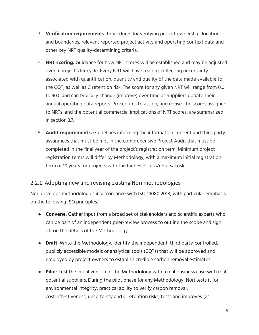- 3. **Verification requirements.** Procedures for verifying project ownership, location and boundaries, relevant reported project activity and operating context data and other key NRT quality-determining criteria.
- 4. **NRT scoring.** Guidance for how NRT scores will be established and may be adjusted over a project's lifecycle. Every NRT will have a score, reflecting uncertainty associated with quantification, quantity and quality of the data made available to the CQT, as well as C retention risk. The score for any given NRT will range from 0.0 to 90.0 and can typically change (improve) over time as Suppliers update their annual operating data reports. Procedures to assign, and revise, the scores assigned to NRTs, and the potential commercial implications of NRT scores, are summarized in section 3.7.
- 5. **Audit requirements.** Guidelines informing the information content and third party assurances that must be met in the comprehensive Project Audit that must be completed in the final year of the project's registration term. Minimum project registration terms will differ by Methodology, with a maximum initial registration term of 10 years for projects with the highest C loss/reversal risk.

#### <span id="page-8-0"></span>2.2.1. Adopting new and revising existing Nori methodologies

Nori develops methodologies in accordance with ISO 14080:2018, with particular emphasis on the following ISO principles.

- **Convene**: Gather input from a broad set of stakeholders and scientific experts who can be part of an independent peer-review process to outline the scope and sign off on the details of the Methodology.
- **Draft**: Write the Methodology. Identify the independent, third party-controlled, publicly accessible models or analytical tools (CQTs) that will be approved and employed by project owners to establish credible carbon removal estimates.
- **Pilot**: Test the initial version of the Methodology with a real business case with real potential suppliers. During the pilot phase for any Methodology, Nori tests it for environmental integrity, practical ability to verify carbon removal, cost-effectiveness, uncertainty and C retention risks, tests and improves (as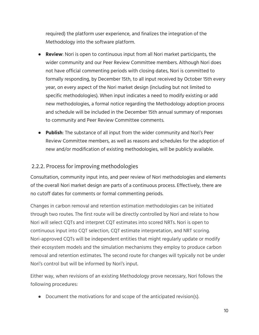required) the platform user experience, and finalizes the integration of the Methodology into the software platform.

- **Review**: Nori is open to continuous input from all Nori market participants, the wider community and our Peer Review Committee members. Although Nori does not have official commenting periods with closing dates, Nori is committed to formally responding, by December 15th, to all input received by October 15th every year, on every aspect of the Nori market design (including but not limited to specific methodologies). When input indicates a need to modify existing or add new methodologies, a formal notice regarding the Methodology adoption process and schedule will be included in the December 15th annual summary of responses to community and Peer Review Committee comments.
- **Publish**: The substance of all input from the wider community and Nori's Peer Review Committee members, as well as reasons and schedules for the adoption of new and/or modification of existing methodologies, will be publicly available.

#### <span id="page-9-0"></span>2.2.2. Process for improving methodologies

Consultation, community input into, and peer review of Nori methodologies and elements of the overall Nori market design are parts of a continuous process. Effectively, there are no cutoff dates for comments or formal commenting periods.

Changes in carbon removal and retention estimation methodologies can be initiated through two routes. The first route will be directly controlled by Nori and relate to how Nori will select CQTs and interpret CQT estimates into scored NRTs. Nori is open to continuous input into CQT selection, CQT estimate interpretation, and NRT scoring. Nori-approved CQTs will be independent entities that might regularly update or modify their ecosystem models and the simulation mechanisms they employ to produce carbon removal and retention estimates. The second route for changes will typically not be under Nori's control but will be informed by Nori's input.

Either way, when revisions of an existing Methodology prove necessary, Nori follows the following procedures:

• Document the motivations for and scope of the anticipated revision(s).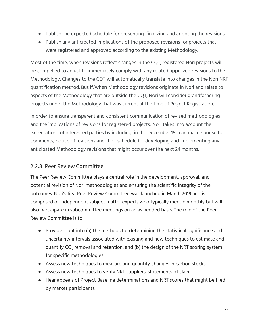- Publish the expected schedule for presenting, finalizing and adopting the revisions.
- Publish any anticipated implications of the proposed revisions for projects that were registered and approved according to the existing Methodology.

Most of the time, when revisions reflect changes in the CQT, registered Nori projects will be compelled to adjust to immediately comply with any related approved revisions to the Methodology. Changes to the CQT will automatically translate into changes in the Nori NRT quantification method. But if/when Methodology revisions originate in Nori and relate to aspects of the Methodology that are outside the CQT, Nori will consider grandfathering projects under the Methodology that was current at the time of Project Registration.

In order to ensure transparent and consistent communication of revised methodologies and the implications of revisions for registered projects, Nori takes into account the expectations of interested parties by including, in the December 15th annual response to comments, notice of revisions and their schedule for developing and implementing any anticipated Methodology revisions that might occur over the next 24 months.

#### <span id="page-10-0"></span>2.2.3. Peer Review Committee

The Peer Review Committee plays a central role in the development, approval, and potential revision of Nori methodologies and ensuring the scientific integrity of the outcomes. Nori's first Peer Review Committee was launched in March 2019 and is composed of independent subject matter experts who typically meet bimonthly but will also participate in subcommittee meetings on an as needed basis. The role of the Peer Review Committee is to:

- Provide input into (a) the methods for determining the statistical significance and uncertainty intervals associated with existing and new techniques to estimate and quantify CO<sup>2</sup> removal and retention, and (b) the design of the NRT scoring system for specific methodologies.
- Assess new techniques to measure and quantify changes in carbon stocks.
- Assess new techniques to verify NRT suppliers' statements of claim.
- Hear appeals of Project Baseline determinations and NRT scores that might be filed by market participants.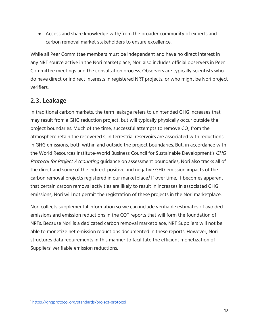● Access and share knowledge with/from the broader community of experts and carbon removal market stakeholders to ensure excellence.

While all Peer Committee members must be independent and have no direct interest in any NRT source active in the Nori marketplace, Nori also includes official observers in Peer Committee meetings and the consultation process. Observers are typically scientists who do have direct or indirect interests in registered NRT projects, or who might be Nori project verifiers.

# <span id="page-11-0"></span>**2.3. Leakage**

In traditional carbon markets, the term leakage refers to unintended GHG increases that may result from a GHG reduction project, but will typically physically occur outside the project boundaries. Much of the time, successful attempts to remove  $CO<sub>2</sub>$  from the atmosphere retain the recovered C in terrestrial reservoirs are associated with reductions in GHG emissions, both within and outside the project boundaries. But, in accordance with the World Resources Institute-World Business Council for Sustainable Development's GHG Protocol for Project Accounting guidance on assessment boundaries, Nori also tracks all of the direct and some of the indirect positive and negative GHG emission impacts of the carbon removal projects registered in our marketplace.<sup>1</sup> If over time, it becomes apparent that certain carbon removal activities are likely to result in increases in associated GHG emissions, Nori will not permit the registration of these projects in the Nori marketplace.

Nori collects supplemental information so we can include verifiable estimates of avoided emissions and emission reductions in the CQT reports that will form the foundation of NRTs. Because Nori is a dedicated carbon removal marketplace, NRT Suppliers will not be able to monetize net emission reductions documented in these reports. However, Nori structures data requirements in this manner to facilitate the efficient monetization of Suppliers' verifiable emission reductions.

<sup>1</sup> <https://ghgprotocol.org/standards/project-protocol>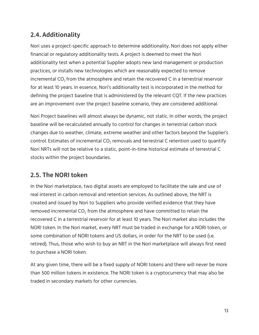# <span id="page-12-0"></span>**2.4. Additionality**

Nori uses a project-specific approach to determine additionality. Nori does not apply either financial or regulatory additionality tests. A project is deemed to meet the Nori additionality test when a potential Supplier adopts new land management or production practices, or installs new technologies which are reasonably expected to remove incremental  $CO<sub>2</sub>$  from the atmosphere and retain the recovered C in a terrestrial reservoir for at least 10 years. In essence, Nori's additionality test is incorporated in the method for defining the project baseline that is administered by the relevant CQT. If the new practices are an improvement over the project baseline scenario, they are considered additional.

Nori Project baselines will almost always be dynamic, not static. In other words, the project baseline will be recalculated annually to control for changes in terrestrial carbon stock changes due to weather, climate, extreme weather and other factors beyond the Supplier's control. Estimates of incremental  $CO<sub>2</sub>$  removals and terrestrial C retention used to quantify Nori NRTs will not be relative to a static, point-in-time historical estimate of terrestrial C stocks within the project boundaries.

# <span id="page-12-1"></span>**2.5. The NORI token**

In the Nori marketplace, two digital assets are employed to facilitate the sale and use of real interest in carbon removal and retention services. As outlined above, the NRT is created and issued by Nori to Suppliers who provide verified evidence that they have removed incremental  $CO<sub>2</sub>$  from the atmosphere and have committed to retain the recovered C in a terrestrial reservoir for at least 10 years. The Nori market also includes the NORI token. In the Nori market, every NRT must be traded in exchange for a NORI token, or some combination of NORI tokens and US dollars, in order for the NRT to be used (i.e. retired). Thus, those who wish to buy an NRT in the Nori marketplace will always first need to purchase a NORI token.

At any given time, there will be a fixed supply of NORI tokens and there will never be more than 500 million tokens in existence. The NORI token is a cryptocurrency that may also be traded in secondary markets for other currencies.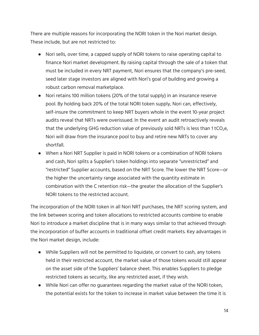There are multiple reasons for incorporating the NORI token in the Nori market design. These include, but are not restricted to:

- Nori sells, over time, a capped supply of NORI tokens to raise operating capital to finance Nori market development. By raising capital through the sale of a token that must be included in every NRT payment, Nori ensures that the company's pre-seed, seed later stage investors are aligned with Nori's goal of building and growing a robust carbon removal marketplace.
- Nori retains 100 million tokens (20% of the total supply) in an insurance reserve pool. By holding back 20% of the total NORI token supply, Nori can, effectively, self-insure the commitment to keep NRT buyers whole in the event 10-year project audits reveal that NRTs were overissued. In the event an audit retroactively reveals that the underlying GHG reduction value of previously sold NRTs is less than 1 tCO<sub>2</sub>e, Nori will draw from the insurance pool to buy and retire new NRTs to cover any shortfall.
- When a Nori NRT Supplier is paid in NORI tokens or a combination of NORI tokens and cash, Nori splits a Supplier's token holdings into separate "unrestricted" and "restricted" Supplier accounts, based on the NRT Score. The lower the NRT Score—or the higher the uncertainty range associated with the quantity estimate in combination with the C retention risk—the greater the allocation of the Supplier's NORI tokens to the restricted account.

The incorporation of the NORI token in all Nori NRT purchases, the NRT scoring system, and the link between scoring and token allocations to restricted accounts combine to enable Nori to introduce a market discipline that is in many ways similar to that achieved through the incorporation of buffer accounts in traditional offset credit markets. Key advantages in the Nori market design, include:

- While Suppliers will not be permitted to liquidate, or convert to cash, any tokens held in their restricted account, the market value of those tokens would still appear on the asset side of the Suppliers' balance sheet. This enables Suppliers to pledge restricted tokens as security, like any restricted asset, if they wish.
- While Nori can offer no guarantees regarding the market value of the NORI token, the potential exists for the token to increase in market value between the time it is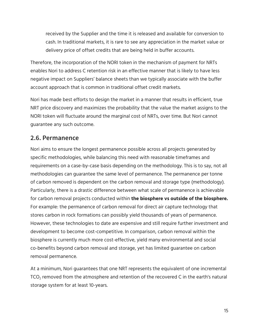received by the Supplier and the time it is released and available for conversion to cash. In traditional markets, it is rare to see any appreciation in the market value or delivery price of offset credits that are being held in buffer accounts.

Therefore, the incorporation of the NORI token in the mechanism of payment for NRTs enables Nori to address C retention risk in an effective manner that is likely to have less negative impact on Suppliers' balance sheets than we typically associate with the buffer account approach that is common in traditional offset credit markets.

Nori has made best efforts to design the market in a manner that results in efficient, true NRT price discovery and maximizes the probability that the value the market assigns to the NORI token will fluctuate around the marginal cost of NRTs, over time. But Nori cannot guarantee any such outcome.

### <span id="page-14-0"></span>**2.6. Permanence**

Nori aims to ensure the longest permanence possible across all projects generated by specific methodologies, while balancing this need with reasonable timeframes and requirements on a case-by-case basis depending on the methodology. This is to say, not all methodologies can guarantee the same level of permanence. The permanence per tonne of carbon removed is dependent on the carbon removal and storage type (methodology). Particularly, there is a drastic difference between what scale of permanence is achievable for carbon removal projects conducted within **the biosphere vs outside of the biosphere.** For example: the permanence of carbon removal for direct air capture technology that stores carbon in rock formations can possibly yield thousands of years of permanence. However, these technologies to date are expensive and still require further investment and development to become cost-competitive. In comparison, carbon removal within the biosphere is currently much more cost-effective, yield many environmental and social co-benefits beyond carbon removal and storage, yet has limited guarantee on carbon removal permanence.

At a minimum, Nori guarantees that one NRT represents the equivalent of one incremental  $TCO<sub>2</sub>$  removed from the atmosphere and retention of the recovered C in the earth's natural storage system for at least 10-years.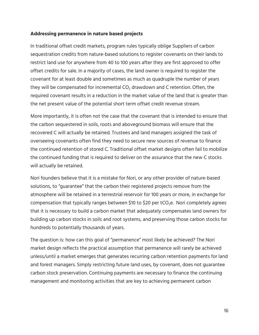#### **Addressing permanence in nature based projects**

In traditional offset credit markets, program rules typically oblige Suppliers of carbon sequestration credits from nature-based solutions to register covenants on their lands to restrict land use for anywhere from 40 to 100 years after they are first approved to offer offset credits for sale. In a majority of cases, the land owner is required to register the covenant for at least double and sometimes as much as quadruple the number of years they will be compensated for incremental  $CO<sub>2</sub>$  drawdown and C retention. Often, the required covenant results in a reduction in the market value of the land that is greater than the net present value of the potential short term offset credit revenue stream.

More importantly, it is often not the case that the covenant that is intended to ensure that the carbon sequestered in soils, roots and aboveground biomass will ensure that the recovered C will actually be retained. Trustees and land managers assigned the task of overseeing covenants often find they need to secure new sources of revenue to finance the continued retention of stored C. Traditional offset market designs often fail to mobilize the continued funding that is required to deliver on the assurance that the new C stocks will actually be retained.

Nori founders believe that it is a mistake for Nori, or any other provider of nature-based solutions, to "guarantee" that the carbon their registered projects remove from the atmosphere will be retained in a terrestrial reservoir for 100 years or more, in exchange for compensation that typically ranges between \$10 to \$20 per tCO<sub>2</sub>e. Nori completely agrees that it is necessary to build a carbon market that adequately compensates land owners for building up carbon stocks in soils and root systems, and preserving those carbon stocks for hundreds to potentially thousands of years.

The question is: how can this goal of "permanence" most likely be achieved? The Nori market design reflects the practical assumption that permanence will rarely be achieved unless/until a market emerges that generates recurring carbon retention payments for land and forest managers. Simply restricting future land uses, by covenant, does not guarantee carbon stock preservation. Continuing payments are necessary to finance the continuing management and monitoring activities that are key to achieving permanent carbon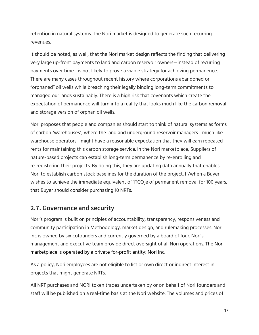retention in natural systems. The Nori market is designed to generate such recurring revenues.

It should be noted, as well, that the Nori market design reflects the finding that delivering very large up-front payments to land and carbon reservoir owners—instead of recurring payments over time—is not likely to prove a viable strategy for achieving permanence. There are many cases throughout recent history where corporations abandoned or "orphaned" oil wells while breaching their legally binding long-term commitments to managed our lands sustainably. There is a high risk that covenants which create the expectation of permanence will turn into a reality that looks much like the carbon removal and storage version of orphan oil wells.

Nori proposes that people and companies should start to think of natural systems as forms of carbon "warehouses", where the land and underground reservoir managers—much like warehouse operators—might have a reasonable expectation that they will earn repeated rents for maintaining this carbon storage service. In the Nori marketplace, Suppliers of nature-based projects can establish long-term permanence by re-enrolling and re-registering their projects. By doing this, they are updating data annually that enables Nori to establish carbon stock baselines for the duration of the project. If/when a Buyer wishes to achieve the immediate equivalent of 1TCO<sub>2</sub>e of permanent removal for 100 years, that Buyer should consider purchasing 10 NRTs.

### <span id="page-16-0"></span>**2.7. Governance and security**

Nori's program is built on principles of accountability, transparency, responsiveness and community participation in Methodology, market design, and rulemaking processes. Nori Inc is owned by six cofounders and currently governed by a board of four. Nori's management and executive team provide direct oversight of all Nori operations. The Nori marketplace is operated by a private for-profit entity: Nori Inc.

As a policy, Nori employees are not eligible to list or own direct or indirect interest in projects that might generate NRTs.

All NRT purchases and NORI token trades undertaken by or on behalf of Nori founders and staff will be published on a real-time basis at the Nori website. The volumes and prices of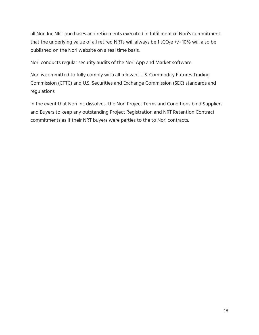all Nori Inc NRT purchases and retirements executed in fulfillment of Nori's commitment that the underlying value of all retired NRTs will always be 1 tCO<sub>2</sub>e +/- 10% will also be published on the Nori website on a real time basis.

Nori conducts regular security audits of the Nori App and Market software.

Nori is committed to fully comply with all relevant U.S. Commodity Futures Trading Commission (CFTC) and U.S. Securities and Exchange Commission (SEC) standards and regulations.

In the event that Nori Inc dissolves, the Nori Project Terms and Conditions bind Suppliers and Buyers to keep any outstanding Project Registration and NRT Retention Contract commitments as if their NRT buyers were parties to the to Nori contracts.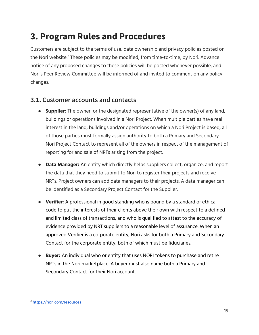# <span id="page-18-0"></span>**3. Program Rules and Procedures**

Customers are subject to the terms of use, data ownership and privacy policies posted on the Nori website.<sup>2</sup> These policies may be modified, from time-to-time, by Nori. Advance notice of any proposed changes to these policies will be posted whenever possible, and Nori's Peer Review Committee will be informed of and invited to comment on any policy changes.

### <span id="page-18-1"></span>**3.1. Customer accounts and contacts**

- **Supplier:** The owner, or the designated representative of the owner(s) of any land, buildings or operations involved in a Nori Project. When multiple parties have real interest in the land, buildings and/or operations on which a Nori Project is based, all of those parties must formally assign authority to both a Primary and Secondary Nori Project Contact to represent all of the owners in respect of the management of reporting for and sale of NRTs arising from the project.
- **Data Manager:** An entity which directly helps suppliers collect, organize, and report the data that they need to submit to Nori to register their projects and receive NRTs. Project owners can add data managers to their projects. A data manager can be identified as a Secondary Project Contact for the Supplier.
- **● Verifier**: A professional in good standing who is bound by a standard or ethical code to put the interests of their clients above their own with respect to a defined and limited class of transactions, and who is qualified to attest to the accuracy of evidence provided by NRT suppliers to a reasonable level of assurance. When an approved Verifier is a corporate entity, Nori asks for both a Primary and Secondary Contact for the corporate entity, both of which must be fiduciaries.
- **● Buyer:** An individual who or entity that uses NORI tokens to purchase and retire NRTs in the Nori marketplace. A buyer must also name both a Primary and Secondary Contact for their Nori account.

<sup>2</sup> <https://nori.com/resources>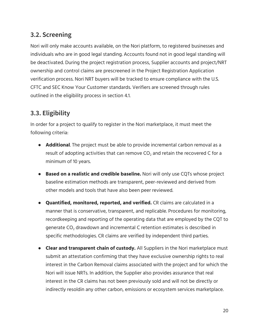# <span id="page-19-0"></span>**3.2. Screening**

Nori will only make accounts available, on the Nori platform, to registered businesses and individuals who are in good legal standing. Accounts found not in good legal standing will be deactivated. During the project registration process, Supplier accounts and project/NRT ownership and control claims are prescreened in the Project Registration Application verification process. Nori NRT buyers will be tracked to ensure compliance with the U.S. CFTC and SEC Know Your Customer standards. Verifiers are screened through rules outlined in the eligibility process in section 4.1.

# <span id="page-19-1"></span>**3.3. Eligibility**

In order for a project to qualify to register in the Nori marketplace, it must meet the following criteria:

- **Additional**. The project must be able to provide incremental carbon removal as a result of adopting activities that can remove  $CO<sub>2</sub>$  and retain the recovered C for a minimum of 10 years.
- **Based on a realistic and credible baseline.** Nori will only use CQTs whose project baseline estimation methods are transparent, peer-reviewed and derived from other models and tools that have also been peer reviewed.
- **Quantified, monitored, reported, and verified.** CR claims are calculated in a manner that is conservative, transparent, and replicable. Procedures for monitoring, recordkeeping and reporting of the operating data that are employed by the CQT to generate  $CO<sub>2</sub>$  drawdown and incremental C retention estimates is described in specific methodologies. CR claims are verified by independent third parties.
- **Clear and transparent chain of custody.** All Suppliers in the Nori marketplace must submit an attestation confirming that they have exclusive ownership rights to real interest in the Carbon Removal claims associated with the project and for which the Nori will issue NRTs. In addition, the Supplier also provides assurance that real interest in the CR claims has not been previously sold and will not be directly or indirectly resoldin any other carbon, emissions or ecosystem services marketplace.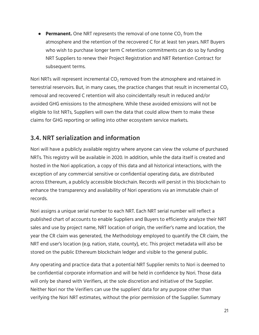**• Permanent.** One NRT represents the removal of one tonne CO<sub>2</sub> from the atmosphere and the retention of the recovered C for at least ten years. NRT Buyers who wish to purchase longer term C retention commitments can do so by funding NRT Suppliers to renew their Project Registration and NRT Retention Contract for subsequent terms.

Nori NRTs will represent incremental  $CO<sub>2</sub>$  removed from the atmosphere and retained in terrestrial reservoirs. But, in many cases, the practice changes that result in incremental  $CO<sub>2</sub>$ removal and recovered C retention will also coincidentally result in reduced and/or avoided GHG emissions to the atmosphere. While these avoided emissions will not be eligible to list NRTs, Suppliers will own the data that could allow them to make these claims for GHG reporting or selling into other ecosystem service markets.

# <span id="page-20-0"></span>**3.4. NRT serialization and information**

Nori will have a publicly available registry where anyone can view the volume of purchased NRTs. This registry will be available in 2020. In addition, while the data itself is created and hosted in the Nori application, a copy of this data and all historical interactions, with the exception of any commercial sensitive or confidential operating data, are distributed across Ethereum, a publicly accessible blockchain. Records will persist in this blockchain to enhance the transparency and availability of Nori operations via an immutable chain of records.

Nori assigns a unique serial number to each NRT. Each NRT serial number will reflect a published chart of accounts to enable Suppliers and Buyers to efficiently analyze their NRT sales and use by project name, NRT location of origin, the verifier's name and location, the year the CR claim was generated, the Methodology employed to quantify the CR claim, the NRT end user's location (e.g. nation, state, county), etc. This project metadata will also be stored on the public Ethereum blockchain ledger and visible to the general public.

Any operating and practice data that a potential NRT Supplier remits to Nori is deemed to be confidential corporate information and will be held in confidence by Nori. Those data will only be shared with Verifiers, at the sole discretion and initiative of the Supplier. Neither Nori nor the Verifiers can use the suppliers' data for any purpose other than verifying the Nori NRT estimates, without the prior permission of the Supplier. Summary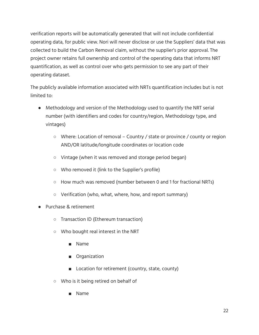verification reports will be automatically generated that will not include confidential operating data, for public view. Nori will never disclose or use the Suppliers' data that was collected to build the Carbon Removal claim, without the supplier's prior approval. The project owner retains full ownership and control of the operating data that informs NRT quantification, as well as control over who gets permission to see any part of their operating dataset.

The publicly available information associated with NRTs quantification includes but is not limited to:

- Methodology and version of the Methodology used to quantify the NRT serial number (with identifiers and codes for country/region, Methodology type, and vintages)
	- Where: Location of removal Country / state or province / county or region AND/OR latitude/longitude coordinates or location code
	- Vintage (when it was removed and storage period began)
	- Who removed it (link to the Supplier's profile)
	- $\circ$  How much was removed (number between 0 and 1 for fractional NRTs)
	- Verification (who, what, where, how, and report summary)
- Purchase & retirement
	- Transaction ID (Ethereum transaction)
	- Who bought real interest in the NRT
		- Name
		- Organization
		- Location for retirement (country, state, county)
	- Who is it being retired on behalf of
		- Name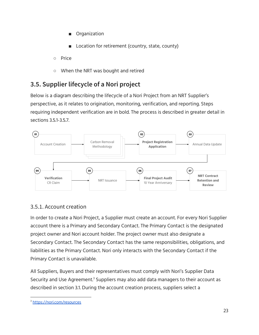- **Organization**
- Location for retirement (country, state, county)
- Price
- When the NRT was bought and retired

# <span id="page-22-0"></span>**3.5. Supplier lifecycle of a Nori project**

Below is a diagram describing the lifecycle of a Nori Project from an NRT Supplier's perspective, as it relates to origination, monitoring, verification, and reporting. Steps requiring independent verification are in bold. The process is described in greater detail in sections 3.5.1-3.5.7.



#### <span id="page-22-1"></span>3.5.1. Account creation

In order to create a Nori Project, a Supplier must create an account. For every Nori Supplier account there is a Primary and Secondary Contact. The Primary Contact is the designated project owner and Nori account holder. The project owner must also designate a Secondary Contact. The Secondary Contact has the same responsibilities, obligations, and liabilities as the Primary Contact. Nori only interacts with the Secondary Contact if the Primary Contact is unavailable.

All Suppliers, Buyers and their representatives must comply with Nori's Supplier Data Security and Use Agreement.<sup>3</sup> Suppliers may also add data managers to their account as described in section 3.1. During the account creation process, suppliers select a

<sup>&</sup>lt;sup>3</sup> [https://nori.com/resources](https://nori.com/resources/how-nori-works)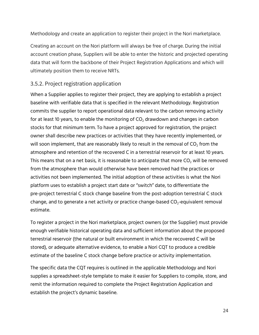Methodology and create an application to register their project in the Nori marketplace.

Creating an account on the Nori platform will always be free of charge. During the initial account creation phase, Suppliers will be able to enter the historic and projected operating data that will form the backbone of their Project Registration Applications and which will ultimately position them to receive NRTs.

#### <span id="page-23-0"></span>3.5.2. Project registration application

When a Supplier applies to register their project, they are applying to establish a project baseline with verifiable data that is specified in the relevant Methodology. Registration commits the supplier to report operational data relevant to the carbon removing activity for at least 10 years, to enable the monitoring of  $CO<sub>2</sub>$  drawdown and changes in carbon stocks for that minimum term. To have a project approved for registration, the project owner shall describe new practices or activities that they have recently implemented, or will soon implement, that are reasonably likely to result in the removal of  $CO<sub>2</sub>$  from the atmosphere and retention of the recovered C in a terrestrial reservoir for at least 10 years. This means that on a net basis, it is reasonable to anticipate that more  $CO<sub>2</sub>$  will be removed from the atmosphere than would otherwise have been removed had the practices or activities not been implemented. The initial adoption of these activities is what the Nori platform uses to establish a project start date or "switch" date, to differentiate the pre-project terrestrial C stock change baseline from the post-adoption terrestrial C stock change, and to generate a net activity or practice change-based  $CO<sub>2</sub>$ -equivalent removal estimate.

To register a project in the Nori marketplace, project owners (or the Supplier) must provide enough verifiable historical operating data and sufficient information about the proposed terrestrial reservoir (the natural or built environment in which the recovered C will be stored), or adequate alternative evidence, to enable a Nori CQT to produce a credible estimate of the baseline C stock change before practice or activity implementation.

The specific data the CQT requires is outlined in the applicable Methodology and Nori supplies a spreadsheet-style template to make it easier for Suppliers to compile, store, and remit the information required to complete the Project Registration Application and establish the project's dynamic baseline.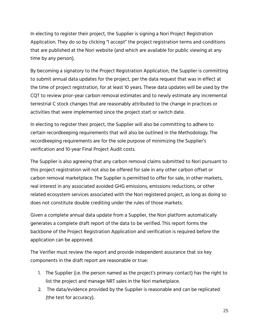In electing to register their project, the Supplier is signing a Nori Project Registration Application. They do so by clicking "I accept" the project registration terms and conditions that are published at the Nori website (and which are available for public viewing at any time by any person).

By becoming a signatory to the Project Registration Application, the Supplier is committing to submit annual data updates for the project, per the data request that was in effect at the time of project registration, for at least 10 years. These data updates will be used by the CQT to review prior-year carbon removal estimates and to newly estimate any incremental terrestrial C stock changes that are reasonably attributed to the change in practices or activities that were implemented since the project start or switch date.

In electing to register their project, the Supplier will also be committing to adhere to certain recordkeeping requirements that will also be outlined in the Methodology. The recordkeeping requirements are for the sole purpose of minimizing the Supplier's verification and 10-year Final Project Audit costs.

The Supplier is also agreeing that any carbon removal claims submitted to Nori pursuant to this project registration will not also be offered for sale in any other carbon offset or carbon removal marketplace. The Supplier is permitted to offer for sale, in other markets, real interest in any associated avoided GHG emissions, emissions reductions, or other related ecosystem services associated with the Nori registered project, as long as doing so does not constitute double crediting under the rules of those markets.

Given a complete annual data update from a Supplier, the Nori platform automatically generates a complete draft report of the data to be verified. This report forms the backbone of the Project Registration Application and verification is required before the application can be approved.

The Verifier must review the report and provide independent assurance that six key components in the draft report are reasonable or true:

- 1. The Supplier (i.e. the person named as the project's primary contact) has the right to list the project and manage NRT sales in the Nori marketplace.
- 2. The data/evidence provided by the Supplier is reasonable and can be replicated (the test for accuracy).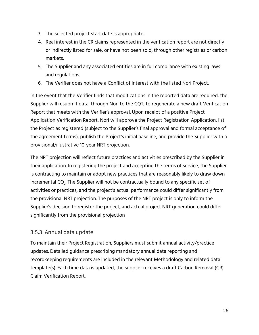- 3. The selected project start date is appropriate.
- 4. Real interest in the CR claims represented in the verification report are not directly or indirectly listed for sale, or have not been sold, through other registries or carbon markets.
- 5. The Supplier and any associated entities are in full compliance with existing laws and regulations.
- 6. The Verifier does not have a Conflict of Interest with the listed Nori Project.

In the event that the Verifier finds that modifications in the reported data are required, the Supplier will resubmit data, through Nori to the CQT, to regenerate a new draft Verification Report that meets with the Verifier's approval. Upon receipt of a positive Project Application Verification Report, Nori will approve the Project Registration Application, list the Project as registered (subject to the Supplier's final approval and formal acceptance of the agreement terms), publish the Project's initial baseline, and provide the Supplier with a provisional/illustrative 10-year NRT projection.

The NRT projection will reflect future practices and activities prescribed by the Supplier in their application. In registering the project and accepting the terms of service, the Supplier is contracting to maintain or adopt new practices that are reasonably likely to draw down incremental CO $_{\rm 2}$ . The Supplier will not be contractually bound to any specific set of activities or practices, and the project's actual performance could differ significantly from the provisional NRT projection. The purposes of the NRT project is only to inform the Supplier's decision to register the project, and actual project NRT generation could differ significantly from the provisional projection

#### <span id="page-25-0"></span>3.5.3. Annual data update

To maintain their Project Registration, Suppliers must submit annual activity/practice updates. Detailed guidance prescribing mandatory annual data reporting and recordkeeping requirements are included in the relevant Methodology and related data template(s). Each time data is updated, the supplier receives a draft Carbon Removal (CR) Claim Verification Report.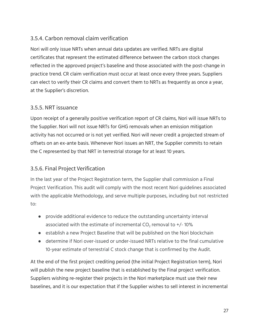### <span id="page-26-0"></span>3.5.4. Carbon removal claim verification

Nori will only issue NRTs when annual data updates are verified. NRTs are digital certificates that represent the estimated difference between the carbon stock changes reflected in the approved project's baseline and those associated with the post-change in practice trend. CR claim verification must occur at least once every three years. Suppliers can elect to verify their CR claims and convert them to NRTs as frequently as once a year, at the Supplier's discretion.

#### <span id="page-26-1"></span>3.5.5. NRT issuance

Upon receipt of a generally positive verification report of CR claims, Nori will issue NRTs to the Supplier. Nori will not issue NRTs for GHG removals when an emission mitigation activity has not occurred or is not yet verified. Nori will never credit a projected stream of offsets on an ex-ante basis. Whenever Nori issues an NRT, the Supplier commits to retain the C represented by that NRT in terrestrial storage for at least 10 years.

#### <span id="page-26-2"></span>3.5.6. Final Project Verification

In the last year of the Project Registration term, the Supplier shall commission a Final Project Verification. This audit will comply with the most recent Nori guidelines associated with the applicable Methodology, and serve multiple purposes, including but not restricted to:

- provide additional evidence to reduce the outstanding uncertainty interval associated with the estimate of incremental  $CO<sub>2</sub>$  removal to  $+/-10\%$
- establish a new Project Baseline that will be published on the Nori blockchain
- determine if Nori over-issued or under-issued NRTs relative to the final cumulative 10-year estimate of terrestrial C stock change that is confirmed by the Audit.

At the end of the first project crediting period (the initial Project Registration term), Nori will publish the new project baseline that is established by the Final project verification. Suppliers wishing re-register their projects in the Nori marketplace must use their new baselines, and it is our expectation that if the Supplier wishes to sell interest in incremental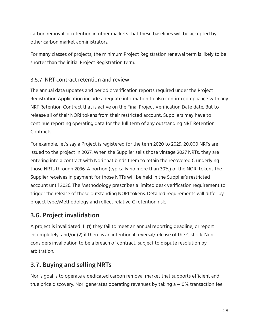carbon removal or retention in other markets that these baselines will be accepted by other carbon market administrators.

For many classes of projects, the minimum Project Registration renewal term is likely to be shorter than the initial Project Registration term.

### <span id="page-27-0"></span>3.5.7. NRT contract retention and review

The annual data updates and periodic verification reports required under the Project Registration Application include adequate information to also confirm compliance with any NRT Retention Contract that is active on the Final Project Verification Date date. But to release all of their NORI tokens from their restricted account, Suppliers may have to continue reporting operating data for the full term of any outstanding NRT Retention Contracts.

For example, let's say a Project is registered for the term 2020 to 2029. 20,000 NRTs are issued to the project in 2027. When the Supplier sells those vintage 2027 NRTs, they are entering into a contract with Nori that binds them to retain the recovered C underlying those NRTs through 2036. A portion (typically no more than 30%) of the NORI tokens the Supplier receives in payment for those NRTs will be held in the Supplier's restricted account until 2036. The Methodology prescribes a limited desk verification requirement to trigger the release of those outstanding NORI tokens. Detailed requirements will differ by project type/Methodology and reflect relative C retention risk.

# <span id="page-27-1"></span>**3.6. Project invalidation**

A project is invalidated if: (1) they fail to meet an annual reporting deadline, or report incompletely, and/or (2) if there is an intentional reversal/release of the C stock. Nori considers invalidation to be a breach of contract, subject to dispute resolution by arbitration.

# <span id="page-27-2"></span>**3.7. Buying and selling NRTs**

Nori's goal is to operate a dedicated carbon removal market that supports efficient and true price discovery. Nori generates operating revenues by taking a ~10% transaction fee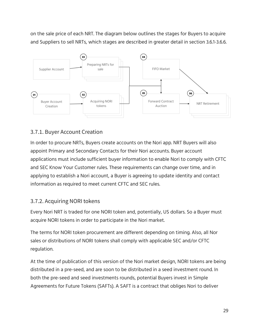on the sale price of each NRT. The diagram below outlines the stages for Buyers to acquire and Suppliers to sell NRTs, which stages are described in greater detail in section 3.6.1-3.6.6.



### <span id="page-28-0"></span>3.7.1. Buyer Account Creation

In order to procure NRTs, Buyers create accounts on the Nori app. NRT Buyers will also appoint Primary and Secondary Contacts for their Nori accounts. Buyer account applications must include sufficient buyer information to enable Nori to comply with CFTC and SEC Know Your Customer rules. These requirements can change over time, and in applying to establish a Nori account, a Buyer is agreeing to update identity and contact information as required to meet current CFTC and SEC rules.

#### <span id="page-28-1"></span>3.7.2. Acquiring NORI tokens

Every Nori NRT is traded for one NORI token and, potentially, US dollars. So a Buyer must acquire NORI tokens in order to participate in the Nori market.

The terms for NORI token procurement are different depending on timing. Also, all Nor sales or distributions of NORI tokens shall comply with applicable SEC and/or CFTC regulation.

At the time of publication of this version of the Nori market design, NORI tokens are being distributed in a pre-seed, and are soon to be distributed in a seed investment round. In both the pre-seed and seed investments rounds, potential Buyers invest in Simple Agreements for Future Tokens (SAFTs). A SAFT is a contract that obliges Nori to deliver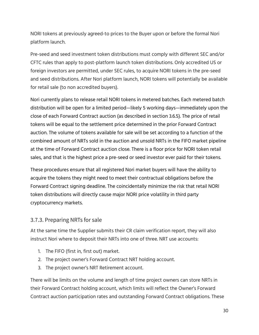NORI tokens at previously agreed-to prices to the Buyer upon or before the formal Nori platform launch.

Pre-seed and seed investment token distributions must comply with different SEC and/or CFTC rules than apply to post-platform launch token distributions. Only accredited US or foreign investors are permitted, under SEC rules, to acquire NORI tokens in the pre-seed and seed distributions. After Nori platform launch, NORI tokens will potentially be available for retail sale (to non accredited buyers).

Nori currently plans to release retail NORI tokens in metered batches. Each metered batch distribution will be open for a limited period—likely 5 working days—immediately upon the close of each Forward Contract auction (as described in section 3.6.5). The price of retail tokens will be equal to the settlement price determined in the prior Forward Contract auction. The volume of tokens available for sale will be set according to a function of the combined amount of NRTs sold in the auction and unsold NRTs in the FIFO market pipeline at the time of Forward Contract auction close. There is a floor price for NORI token retail sales, and that is the highest price a pre-seed or seed investor ever paid for their tokens.

These procedures ensure that all registered Nori market buyers will have the ability to acquire the tokens they might need to meet their contractual obligations before the Forward Contract signing deadline. The coincidentally minimize the risk that retail NORI token distributions will directly cause major NORI price volatility in third party cryptocurrency markets.

#### <span id="page-29-0"></span>3.7.3. Preparing NRTs for sale

At the same time the Supplier submits their CR claim verification report, they will also instruct Nori where to deposit their NRTs into one of three. NRT use accounts:

- 1. The FIFO (first in, first out) market.
- 2. The project owner's Forward Contract NRT holding account.
- 3. The project owner's NRT Retirement account.

There will be limits on the volume and length of time project owners can store NRTs in their Forward Contract holding account, which limits will reflect the Owner's Forward Contract auction participation rates and outstanding Forward Contract obligations. These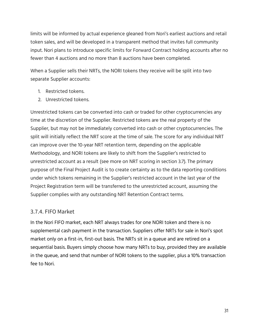limits will be informed by actual experience gleaned from Nori's earliest auctions and retail token sales, and will be developed in a transparent method that invites full community input. Nori plans to introduce specific limits for Forward Contract holding accounts after no fewer than 4 auctions and no more than 8 auctions have been completed.

When a Supplier sells their NRTs, the NORI tokens they receive will be split into two separate Supplier accounts:

- 1. Restricted tokens.
- 2. Unrestricted tokens.

Unrestricted tokens can be converted into cash or traded for other cryptocurrencies any time at the discretion of the Supplier. Restricted tokens are the real property of the Supplier, but may not be immediately converted into cash or other cryptocurrencies. The split will initially reflect the NRT score at the time of sale. The score for any individual NRT can improve over the 10-year NRT retention term, depending on the applicable Methodology, and NORI tokens are likely to shift from the Supplier's restricted to unrestricted account as a result (see more on NRT scoring in section 3.7). The primary purpose of the Final Project Audit is to create certainty as to the data reporting conditions under which tokens remaining in the Supplier's restricted account in the last year of the Project Registration term will be transferred to the unrestricted account, assuming the Supplier complies with any outstanding NRT Retention Contract terms.

#### <span id="page-30-0"></span>3.7.4. FIFO Market

In the Nori FIFO market, each NRT always trades for one NORI token and there is no supplemental cash payment in the transaction. Suppliers offer NRTs for sale in Nori's spot market only on a first-in, first-out basis. The NRTs sit in a queue and are retired on a sequential basis. Buyers simply choose how many NRTs to buy, provided they are available in the queue, and send that number of NORI tokens to the supplier, plus a 10% transaction fee to Nori.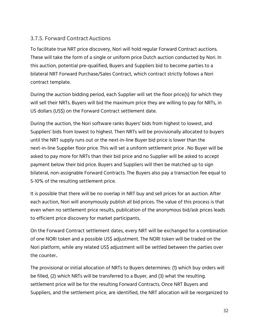#### <span id="page-31-0"></span>3.7.5. Forward Contract Auctions

To facilitate true NRT price discovery, Nori will hold regular Forward Contract auctions. These will take the form of a single or uniform price Dutch auction conducted by Nori. In this auction, potential pre-qualified, Buyers and Suppliers bid to become parties to a bilateral NRT Forward Purchase/Sales Contract, which contract strictly follows a Nori contract template.

During the auction bidding period, each Supplier will set the floor price(s) for which they will sell their NRTs. Buyers will bid the maximum price they are willing to pay for NRTs, in US dollars (US\$) on the Forward Contract settlement date.

During the auction, the Nori software ranks Buyers' bids from highest to lowest, and Suppliers' bids from lowest to highest. Then NRTs will be provisionally allocated to buyers until the NRT supply runs out or the next-in-line Buyer bid price is lower than the next-in-line Supplier floor price. This will set a uniform settlement price . No Buyer will be asked to pay more for NRTs than their bid price and no Supplier will be asked to accept payment below their bid price. Buyers and Suppliers will then be matched up to sign bilateral, non-assignable Forward Contracts. The Buyers also pay a transaction fee equal to 5-10% of the resulting settlement price.

It is possible that there will be no overlap in NRT buy and sell prices for an auction. After each auction, Nori will anonymously publish all bid prices. The value of this process is that even when no settlement price results, publication of the anonymous bid/ask prices leads to efficient price discovery for market participants.

On the Forward Contract settlement dates, every NRT will be exchanged for a combination of one NORI token and a possible US\$ adjustment. The NORI token will be traded on the Nori platform, while any related US\$ adjustment will be settled between the parties over the counter..

The provisional or initial allocation of NRTs to Buyers determines: (1) which buy orders will be filled, (2) which NRTs will be transferred to a Buyer, and (3) what the resulting. settlement price will be for the resulting Forward Contracts. Once NRT Buyers and Suppliers, and the settlement price, are identified, the NRT allocation will be reorganized to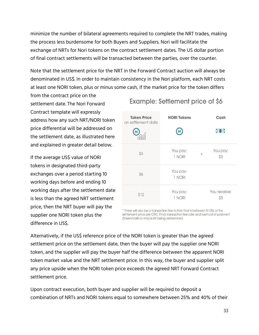minimize the number of bilateral agreements required to complete the NRT trades, making the process less burdensome for both Buyers and Suppliers. Nori will facilitate the exchange of NRTs for Nori tokens on the contract settlement dates. The US dollar portion of final contract settlements will be transacted between the parties, over the counter.

Note that the settlement price for the NRT in the Forward Contract auction will always be denominated in US\$. In order to maintain consistency in the Nori platform, each NRT costs at least one NORI token, plus or minus some cash, if the market price for the token differs

from the contract price on the settlement date. The Nori Forward Contract template will expressly address how any such NRT/NORI token price differential will be addressed on the settlement date, as illustrated here and explained in greater detail below.

If the average US\$ value of NORI tokens in designated third-party exchanges over a period starting 10 working days before and ending 10 working days after the settlement date is less than the agreed NRT settlement price, then the NRT buyer will pay the supplier one NORI token plus the difference in US\$.

# Example: Settlement price of \$6

| <b>Token Price</b><br>on settlement date | <b>NORI Tokens</b> | Cash                      |
|------------------------------------------|--------------------|---------------------------|
|                                          | $\bf N$            | ю                         |
| \$3                                      | You pay:<br>1 NORI | You pay:<br>$^{+}$<br>\$3 |
| \$6                                      | You pay:<br>1 NORI |                           |
| \$12                                     | You pay:<br>1 NORI | You receive:<br>Ŝ3        |

\* There will also be a transaction fee to Nori that is between 5-10% of the settlement price per CRC. Final transaction fee rate and method of payment (token/cash or mix) is still being determined.

Alternatively, if the US\$ reference price of the NORI token is greater than the agreed settlement price on the settlement date, then the buyer will pay the supplier one NORI token, and the supplier will pay the buyer half the difference between the apparent NORI token market value and the NRT settlement price. In this way, the buyer and supplier split any price upside when the NORI token price exceeds the agreed NRT Forward Contract settlement price.

Upon contract execution, both buyer and supplier will be required to deposit a combination of NRTs and NORI tokens equal to somewhere between 25% and 40% of their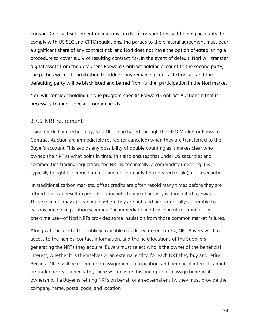Forward Contract settlement obligations into Nori Forward Contract holding accounts. To comply with US SEC and CFTC regulations, the parties to the bilateral agreement must bear a significant share of any contract risk, and Nori does not have the option of establishing a procedure to cover 100% of resulting contract risk. In the event of default, Nori will transfer digital assets from the defaulter's Forward Contract holding account to the second party, the parties will go to arbitration to address any remaining contract shortfall, and the defaulting party will be blacklisted and barred from further participation in the Nori market.

Nori will consider holding unique program-specific Forward Contract Auctions if that is necessary to meet special program needs.

#### <span id="page-33-0"></span>3.7.6. NRT retirement

Using blockchain technology, Nori NRTs purchased through the FIFO Market or Forward Contract Auction are immediately retired (or canceled) when they are transferred to the Buyer's account. This avoids any possibility of double counting as it makes clear who owned the NRT at what point in time. This also ensures that under US securities and commodities trading regulation, the NRT is, technically, a commodity (meaning it is typically bought for immediate use and not primarily for repeated resale), not a security.

In traditional carbon markets, offset credits are often resold many times before they are retired. This can result in periods during which market activity is dominated by swaps. These markets may appear liquid when they are not, and are potentially vulnerable to various price manipulation schemes. The immediate and transparent retirement—or one-time use—of Nori NRTs provides some insulation from those common market failures.

Along with access to the publicly available data listed in section 3.4, NRT Buyers will have access to the names, contact information, and the field locations of the Suppliers generating the NRTs they acquire. Buyers must select who is the owner of the beneficial interest, whether it is themselves or an external entity, for each NRT they buy and retire. Because NRTs will be retired upon assignment to a location, and beneficial interest cannot be traded or reassigned later, there will only be this one option to assign beneficial ownership. If a Buyer is retiring NRTs on behalf of an external entity, they must provide the company name, postal code, and location.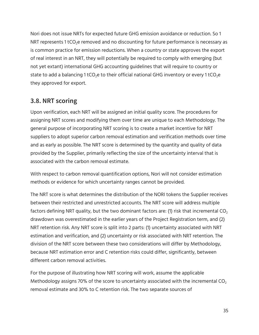Nori does not issue NRTs for expected future GHG emission avoidance or reduction. So 1 NRT represents 1 tCO<sub>2</sub>e removed and no discounting for future performance is necessary as is common practice for emission reductions. When a country or state approves the export of real interest in an NRT, they will potentially be required to comply with emerging (but not yet extant) international GHG accounting guidelines that will require to country or state to add a balancing 1 tCO<sub>2</sub>e to their official national GHG inventory or every 1 tCO<sub>2</sub>e they approved for export.

# <span id="page-34-0"></span>**3.8. NRT scoring**

Upon verification, each NRT will be assigned an initial quality score. The procedures for assigning NRT scores and modifying them over time are unique to each Methodology. The general purpose of incorporating NRT scoring is to create a market incentive for NRT suppliers to adopt superior carbon removal estimation and verification methods over time and as early as possible. The NRT score is determined by the quantity and quality of data provided by the Supplier, primarily reflecting the size of the uncertainty interval that is associated with the carbon removal estimate.

With respect to carbon removal quantification options, Nori will not consider estimation methods or evidence for which uncertainty ranges cannot be provided.

The NRT score is what determines the distribution of the NORI tokens the Supplier receives between their restricted and unrestricted accounts. The NRT score will address multiple factors defining NRT quality, but the two dominant factors are: (1) risk that incremental  $CO<sub>2</sub>$ drawdown was overestimated in the earlier years of the Project Registration term, and (2) NRT retention risk. Any NRT score is split into 2 parts: (1) uncertainty associated with NRT estimation and verification, and (2) uncertainty or risk associated with NRT retention. The division of the NRT score between these two considerations will differ by Methodology, because NRT estimation error and C retention risks could differ, significantly, between different carbon removal activities.

For the purpose of illustrating how NRT scoring will work, assume the applicable Methodology assigns 70% of the score to uncertainty associated with the incremental  $CO<sub>2</sub>$ removal estimate and 30% to C retention risk. The two separate sources of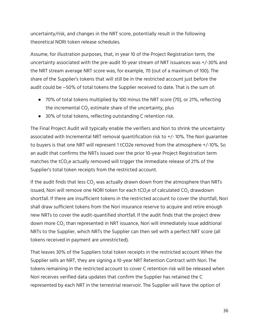uncertainty/risk, and changes in the NRT score, potentially result in the following theoretical NORI token release schedules.

Assume, for illustration purposes, that, in year 10 of the Project Registration term, the uncertainty associated with the pre-audit 10-year stream of NRT issuances was +/-30% and the NRT stream average NRT score was, for example, 70 (out of a maximum of 100). The share of the Supplier's tokens that will still be in the restricted account just before the audit could be ~50% of total tokens the Supplier received to date. That is the sum of:

- 70% of total tokens multiplied by 100 minus the NRT score (70), or 21%, reflecting the incremental  $CO<sub>2</sub>$  estimate share of the uncertainty, plus
- 30% of total tokens, reflecting outstanding C retention risk.

The Final Project Audit will typically enable the verifiers and Nori to shrink the uncertainty associated with Incremental NRT removal quantification risk to +/- 10%. The Nori guarantee to buyers is that one NRT will represent 1 tCO2e removed from the atmosphere +/-10%. So an audit that confirms the NRTs issued over the prior 10-year Project Registration term matches the  $tCO<sub>2</sub>e$  actually removed will trigger the immediate release of 21% of the Supplier's total token receipts from the restricted account.

If the audit finds that less  $CO<sub>2</sub>$  was actually drawn down from the atmosphere than NRTs issued, Nori will remove one NORI token for each  $tCO<sub>2</sub>$ e of calculated  $CO<sub>2</sub>$  drawdown shortfall. If there are insufficient tokens in the restricted account to cover the shortfall, Nori shall draw sufficient tokens from the Nori insurance reserve to acquire and retire enough new NRTs to cover the audit-quantified shortfall. If the audit finds that the project drew down more  $CO<sub>2</sub>$  than represented in NRT issuance, Nori will immediately issue additional NRTs to the Supplier, which NRTs the Supplier can then sell with a perfect NRT score (all tokens received in payment are unrestricted).

That leaves 30% of the Suppliers total token receipts in the restricted account When the Supplier sells an NRT, they are signing a 10-year NRT Retention Contract with Nori. The tokens remaining in the restricted account to cover C retention risk will be released when Nori receives verified data updates that confirm the Supplier has retained the C represented by each NRT in the terrestrial reservoir. The Supplier will have the option of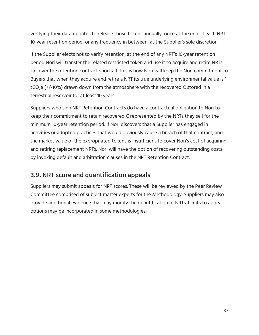verifying their data updates to release those tokens annually, once at the end of each NRT 10-year retention period, or any frequency in between, at the Supplier's sole discretion.

If the Supplier elects not to verify retention, at the end of any NRT's 10-year retention period Nori will transfer the related restricted token and use it to acquire and retire NRTs to cover the retention contract shortfall. This is how Nori will keep the Nori commitment to Buyers that when they acquire and retire a NRT its true underlying environmental value is 1 tCO<sub>2</sub>e (+/-10%) drawn down from the atmosphere with the recovered C stored in a terrestrial reservoir for at least 10 years.

Suppliers who sign NRT Retention Contracts do have a contractual obligation to Nori to keep their commitment to retain recovered C represented by the NRTs they sell for the minimum 10-year retention period. If Nori discovers that a Supplier has engaged in activities or adopted practices that would obviously cause a breach of that contract, and the market value of the expropriated tokens is insufficient to cover Nori's cost of acquiring and retiring replacement NRTs, Nori will have the option of recovering outstanding costs by invoking default and arbitration clauses in the NRT Retention Contract.

# <span id="page-36-0"></span>**3.9. NRT score and quantification appeals**

Suppliers may submit appeals for NRT scores. These will be reviewed by the Peer Review Committee comprised of subject matter experts for the Methodology. Suppliers may also provide additional evidence that may modify the quantification of NRTs. Limits to appeal options may be incorporated in some methodologies.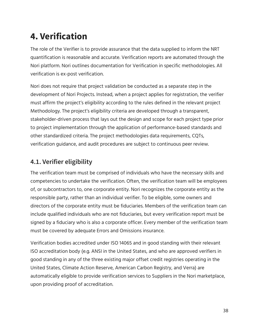# <span id="page-37-0"></span>**4. Verification**

The role of the Verifier is to provide assurance that the data supplied to inform the NRT quantification is reasonable and accurate. Verification reports are automated through the Nori platform. Nori outlines documentation for Verification in specific methodologies. All verification is ex-post verification.

Nori does not require that project validation be conducted as a separate step in the development of Nori Projects. Instead, when a project applies for registration, the verifier must affirm the project's eligibility according to the rules defined in the relevant project Methodology. The project's eligibility criteria are developed through a transparent, stakeholder-driven process that lays out the design and scope for each project type prior to project implementation through the application of performance-based standards and other standardized criteria. The project methodologies data requirements, CQTs, verification guidance, and audit procedures are subject to continuous peer review.

# <span id="page-37-1"></span>**4.1. Verifier eligibility**

The verification team must be comprised of individuals who have the necessary skills and competencies to undertake the verification. Often, the verification team will be employees of, or subcontractors to, one corporate entity. Nori recognizes the corporate entity as the responsible party, rather than an individual verifier. To be eligible, some owners and directors of the corporate entity must be fiduciaries. Members of the verification team can include qualified individuals who are not fiduciaries, but every verification report must be signed by a fiduciary who is also a corporate officer. Every member of the verification team must be covered by adequate Errors and Omissions insurance.

Verification bodies accredited under ISO 14065 and in good standing with their relevant ISO accreditation body (e.g. ANSI in the United States, and who are approved verifiers in good standing in any of the three existing major offset credit registries operating in the United States, Climate Action Reserve, American Carbon Registry, and Verra) are automatically eligible to provide verification services to Suppliers in the Nori marketplace, upon providing proof of accreditation.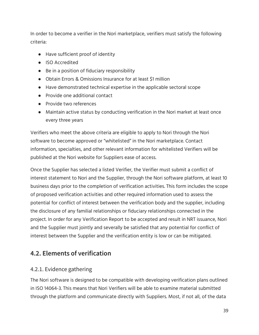In order to become a verifier in the Nori marketplace, verifiers must satisfy the following criteria:

- Have sufficient proof of identity
- ISO Accredited
- Be in a position of fiduciary responsibility
- Obtain Errors & Omissions Insurance for at least \$1 million
- Have demonstrated technical expertise in the applicable sectoral scope
- Provide one additional contact
- Provide two references
- Maintain active status by conducting verification in the Nori market at least once every three years

Verifiers who meet the above criteria are eligible to apply to Nori through the Nori software to become approved or "whitelisted" in the Nori marketplace. Contact information, specialties, and other relevant information for whitelisted Verifiers will be published at the Nori website for Suppliers ease of access.

Once the Supplier has selected a listed Verifier, the Verifier must submit a conflict of interest statement to Nori and the Supplier, through the Nori software platform, at least 10 business days prior to the completion of verification activities. This form includes the scope of proposed verification activities and other required information used to assess the potential for conflict of interest between the verification body and the supplier, including the disclosure of any familial relationships or fiduciary relationships connected in the project. In order for any Verification Report to be accepted and result in NRT issuance, Nori and the Supplier must jointly and severally be satisfied that any potential for conflict of interest between the Supplier and the verification entity is low or can be mitigated.

# <span id="page-38-0"></span>**4.2. Elements of verification**

#### <span id="page-38-1"></span>4.2.1. Evidence gathering

The Nori software is designed to be compatible with developing verification plans outlined in ISO 14064-3. This means that Nori Verifiers will be able to examine material submitted through the platform and communicate directly with Suppliers. Most, if not all, of the data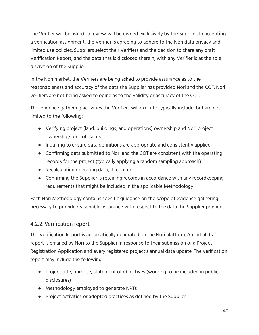the Verifier will be asked to review will be owned exclusively by the Supplier. In accepting a verification assignment, the Verifier is agreeing to adhere to the Nori data privacy and limited use policies. Suppliers select their Verifiers and the decision to share any draft Verification Report, and the data that is dicslosed therein, with any Verifier is at the sole discretion of the Supplier.

In the Nori market, the Verifiers are being asked to provide assurance as to the reasonableness and accuracy of the data the Supplier has provided Nori and the CQT. Nori verifiers are not being asked to opine as to the validity or accuracy of the CQT.

The evidence gathering activities the Verifiers will execute typically include, but are not limited to the following:

- Verifying project (land, buildings, and operations) ownership and Nori project ownership/control claims
- Inquiring to ensure data definitions are appropriate and consistently applied
- Confirming data submitted to Nori and the CQT are consistent with the operating records for the project (typically applying a random sampling approach)
- Recalculating operating data, if required
- Confirming the Supplier is retaining records in accordance with any recordkeeping requirements that might be included in the applicable Methodology

Each Nori Methodology contains specific guidance on the scope of evidence gathering necessary to provide reasonable assurance with respect to the data the Supplier provides.

#### <span id="page-39-0"></span>4.2.2. Verification report

The Verification Report is automatically generated on the Nori platform. An initial draft report is emailed by Nori to the Supplier in response to their submission of a Project Registration Application and every registered project's annual data update. The verification report may include the following:

- Project title, purpose, statement of objectives (wording to be included in public disclosures)
- Methodology employed to generate NRTs
- Project activities or adopted practices as defined by the Supplier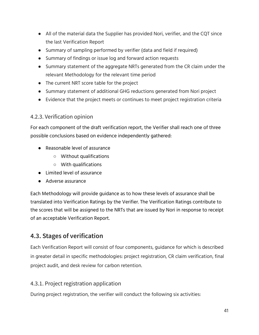- All of the material data the Supplier has provided Nori, verifier, and the CQT since the last Verification Report
- Summary of sampling performed by verifier (data and field if required)
- Summary of findings or issue log and forward action requests
- Summary statement of the aggregate NRTs generated from the CR claim under the relevant Methodology for the relevant time period
- The current NRT score table for the project
- Summary statement of additional GHG reductions generated from Nori project
- Evidence that the project meets or continues to meet project registration criteria

#### <span id="page-40-0"></span>4.2.3. Verification opinion

For each component of the draft verification report, the Verifier shall reach one of three possible conclusions based on evidence independently gathered:

- Reasonable level of assurance
	- Without qualifications
	- With qualifications
- Limited level of assurance
- Adverse assurance

Each Methodology will provide guidance as to how these levels of assurance shall be translated into Verification Ratings by the Verifier. The Verification Ratings contribute to the scores that will be assigned to the NRTs that are issued by Nori in response to receipt of an acceptable Verification Report.

# <span id="page-40-1"></span>**4.3. Stages of verification**

Each Verification Report will consist of four components, guidance for which is described in greater detail in specific methodologies: project registration, CR claim verification, final project audit, and desk review for carbon retention.

#### 4.3.1. Project registration application

During project registration, the verifier will conduct the following six activities: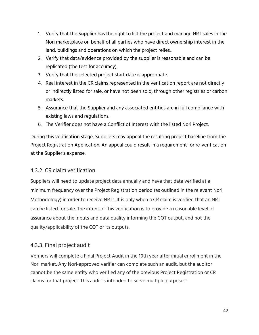- 1. Verify that the Supplier has the right to list the project and manage NRT sales in the Nori marketplace on behalf of all parties who have direct ownership interest in the land, buildings and operations on which the project relies..
- 2. Verify that data/evidence provided by the supplier is reasonable and can be replicated (the test for accuracy).
- 3. Verify that the selected project start date is appropriate.
- 4. Real interest in the CR claims represented in the verification report are not directly or indirectly listed for sale, or have not been sold, through other registries or carbon markets.
- 5. Assurance that the Supplier and any associated entities are in full compliance with existing laws and regulations.
- 6. The Verifier does not have a Conflict of Interest with the listed Nori Project.

During this verification stage, Suppliers may appeal the resulting project baseline from the Project Registration Application. An appeal could result in a requirement for re-verification at the Supplier's expense.

#### 4.3.2. CR claim verification

Suppliers will need to update project data annually and have that data verified at a minimum frequency over the Project Registration period (as outlined in the relevant Nori Methodology) in order to receive NRTs. It is only when a CR claim is verified that an NRT can be listed for sale. The intent of this verification is to provide a reasonable level of assurance about the inputs and data quality informing the CQT output, and not the quality/applicability of the CQT or its outputs.

#### <span id="page-41-0"></span>4.3.3. Final project audit

Verifiers will complete a Final Project Audit in the 10th year after initial enrollment in the Nori market. Any Nori-approved verifier can complete such an audit, but the auditor cannot be the same entity who verified any of the previous Project Registration or CR claims for that project. This audit is intended to serve multiple purposes: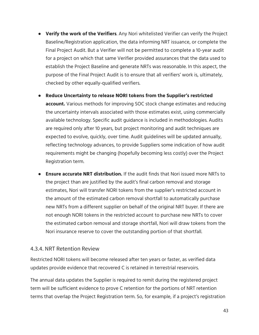- **Verify the work of the Verifiers**. Any Nori whitelisted Verifier can verify the Project Baseline/Registration application, the data informing NRT issuance, or complete the Final Project Audit. But a Verifier will not be permitted to complete a 10-year audit for a project on which that same Verifier provided assurances that the data used to establish the Project Baseline and generate NRTs was reasonable. In this aspect, the purpose of the Final Project Audit is to ensure that all verifiers' work is, ultimately, checked by other equally-qualified verifiers.
- **Reduce Uncertainty to release NORI tokens from the Supplier's restricted account.** Various methods for improving SOC stock change estimates and reducing the uncertainty intervals associated with those estimates exist, using commercially available technology. Specific audit guidance is included in methodologies. Audits are required only after 10 years, but project monitoring and audit techniques are expected to evolve, quickly, over time. Audit guidelines will be updated annually, reflecting technology advances, to provide Suppliers some indication of how audit requirements might be changing (hopefully becoming less costly) over the Project Registration term.
- **Ensure accurate NRT distribution.** If the audit finds that Nori issued more NRTs to the project than are justified by the audit's final carbon removal and storage estimates, Nori will transfer NORI tokens from the supplier's restricted account in the amount of the estimated carbon removal shortfall to automatically purchase new NRTs from a different supplier on behalf of the original NRT buyer. If there are not enough NORI tokens in the restricted account to purchase new NRTs to cover the estimated carbon removal and storage shortfall, Nori will draw tokens from the Nori insurance reserve to cover the outstanding portion of that shortfall.

#### <span id="page-42-0"></span>4.3.4. NRT Retention Review

Restricted NORI tokens will become released after ten years or faster, as verified data updates provide evidence that recovered C is retained in terrestrial reservoirs.

The annual data updates the Supplier is required to remit during the registered project term will be sufficient evidence to prove C retention for the portions of NRT retention terms that overlap the Project Registration term. So, for example, if a project's registration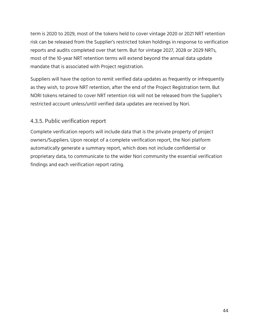term is 2020 to 2029, most of the tokens held to cover vintage 2020 or 2021 NRT retention risk can be released from the Supplier's restricted token holdings in response to verification reports and audits completed over that term. But for vintage 2027, 2028 or 2029 NRTs, most of the 10-year NRT retention terms will extend beyond the annual data update mandate that is associated with Project registration.

Suppliers will have the option to remit verified data updates as frequently or infrequently as they wish, to prove NRT retention, after the end of the Project Registration term. But NORI tokens retained to cover NRT retention risk will not be released from the Supplier's restricted account unless/until verified data updates are received by Nori.

#### <span id="page-43-0"></span>4.3.5. Public verification report

Complete verification reports will include data that is the private property of project owners/Suppliers. Upon receipt of a complete verification report, the Nori platform automatically generate a summary report, which does not include confidential or proprietary data, to communicate to the wider Nori community the essential verification findings and each verification report rating.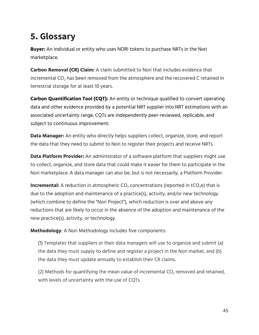# <span id="page-44-0"></span>**5. Glossary**

**Buyer:** An individual or entity who uses NORI tokens to purchase NRTs in the Nori marketplace.

**Carbon Removal (CR) Claim:** A claim submitted to Nori that includes evidence that incremental  $CO<sub>2</sub>$  has been removed from the atmosphere and the recovered C retained in terrestrial storage for at least 10 years.

**Carbon Quantification Tool (CQT):** An entity or technique qualified to convert operating data and other evidence provided by a potential NRT supplier into NRT estimations with an associated uncertainty range. CQTs are independently peer-reviewed, replicable, and subject to continuous improvement.

**Data Manager:** An entity who directly helps suppliers collect, organize, store, and report the data that they need to submit to Nori to register their projects and receive NRTs.

**Data Platform Provider:** An administrator of a software platform that suppliers might use to collect, organize, and store data that could make it easier for them to participate in the Nori marketplace. A data manager can also be, but is not necessarily, a Platform Provider.

**Incremental:** A reduction in atmospheric CO<sub>2</sub> concentrations (reported in tCO<sub>2</sub>e) that is due to the adoption and maintenance of a practice(s), activity, and/or new technology (which combine to define the "Nori Project"), which reduction is over and above any reductions that are likely to occur in the absence of the adoption and maintenance of the new practice(s), activity, or technology.

**Methodology**: A Nori Methodology includes five components:

(1) Templates that suppliers or their data managers will use to organize and submit (a) the data they must supply to define and register a project in the Nori market, and (b) the data they must update annually to establish their CR claims.

(2) Methods for quantifying the mean value of incremental  $CO<sub>2</sub>$  removed and retained, with levels of uncertainty with the use of CQTs.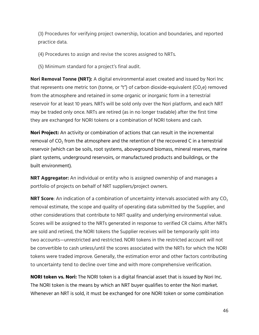(3) Procedures for verifying project ownership, location and boundaries, and reported practice data.

(4) Procedures to assign and revise the scores assigned to NRTs.

(5) Minimum standard for a project's final audit.

**Nori Removal Tonne (NRT):** A digital environmental asset created and issued by Nori Inc that represents one metric ton (tonne, or "t") of carbon dioxide-equivalent ( $CO<sub>2</sub>e$ ) removed from the atmosphere and retained in some organic or inorganic form in a terrestrial reservoir for at least 10 years. NRTs will be sold only over the Nori platform, and each NRT may be traded only once. NRTs are retired (as in no longer tradable) after the first time they are exchanged for NORI tokens or a combination of NORI tokens and cash.

**Nori Project:** An activity or combination of actions that can result in the incremental removal of  $CO<sub>2</sub>$  from the atmosphere and the retention of the recovered C in a terrestrial reservoir (which can be soils, root systems, aboveground biomass, mineral reserves, marine plant systems, underground reservoirs, or manufactured products and buildings, or the built environment).

**NRT Aggregator:** An individual or entity who is assigned ownership of and manages a portfolio of projects on behalf of NRT suppliers/project owners.

**NRT Score**: An indication of a combination of uncertainty intervals associated with any CO<sub>2</sub> removal estimate, the scope and quality of operating data submitted by the Supplier, and other considerations that contribute to NRT quality and underlying environmental value. Scores will be assigned to the NRTs generated in response to verified CR claims. After NRTs are sold and retired, the NORI tokens the Supplier receives will be temporarily split into two accounts—unrestricted and restricted. NORI tokens in the restricted account will not be convertible to cash unless/until the scores associated with the NRTs for which the NORI tokens were traded improve. Generally, the estimation error and other factors contributing to uncertainty tend to decline over time and with more comprehensive verification.

**NORI token vs. Nori:** The NORI token is a digital financial asset that is issued by Nori Inc. The NORI token is the means by which an NRT buyer qualifies to enter the Nori market. Whenever an NRT is sold, it must be exchanged for one NORI token or some combination